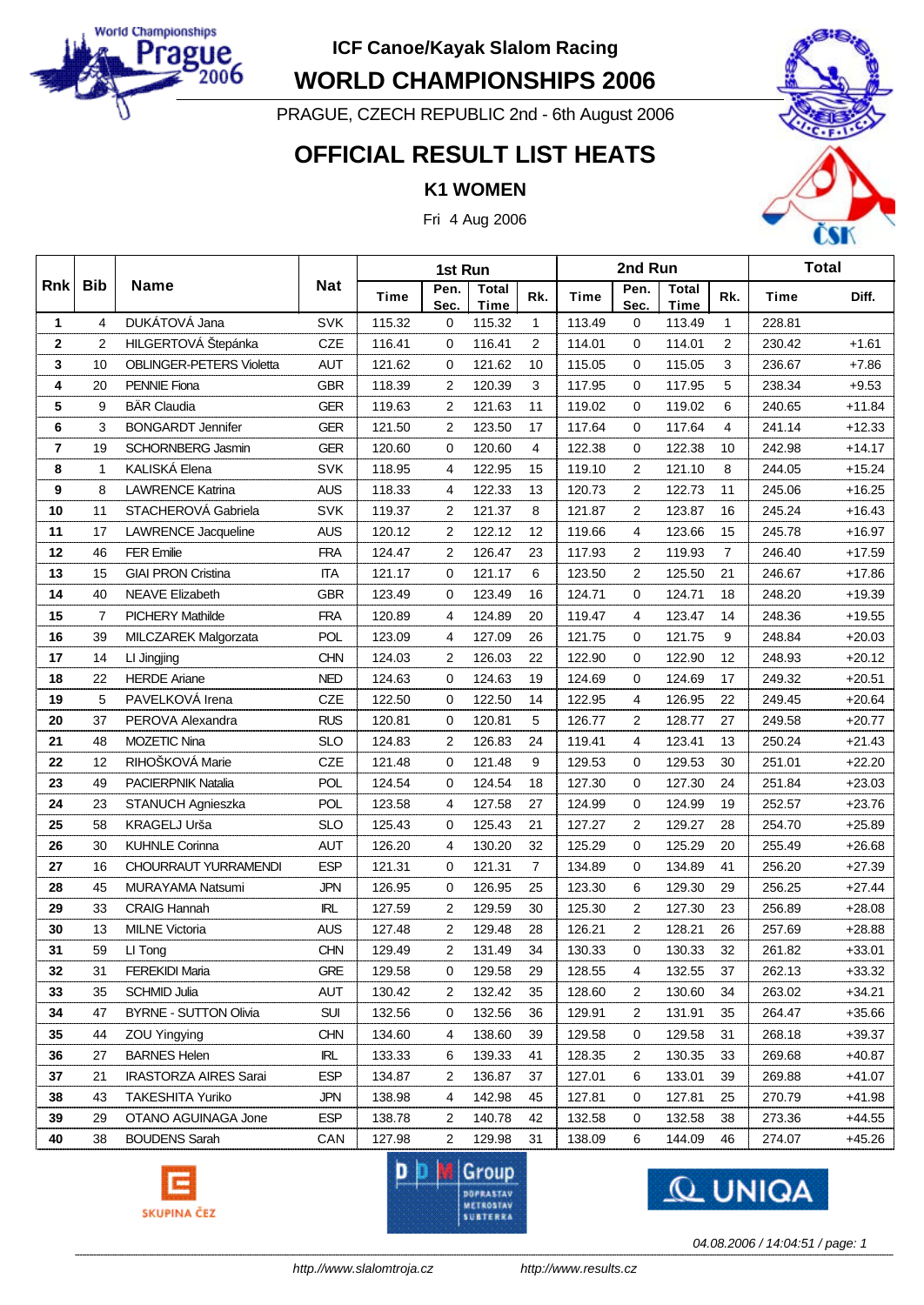

**WORLD CHAMPIONSHIPS 2006**

PRAGUE, CZECH REPUBLIC 2nd - 6th August 2006

### **OFFICIAL RESULT LIST HEATS**

#### **K1 WOMEN**

Fri 4 Aug 2006



|                |                |                                 |            |             |                | 2nd Run              |                | <b>Total</b> |              |                             |                |             |          |
|----------------|----------------|---------------------------------|------------|-------------|----------------|----------------------|----------------|--------------|--------------|-----------------------------|----------------|-------------|----------|
| Rnk            | <b>Bib</b>     | <b>Name</b>                     | <b>Nat</b> | <b>Time</b> | Pen.<br>Sec.   | <b>Total</b><br>Time | Rk.            | <b>Time</b>  | Pen.<br>Sec. | <b>Total</b><br><b>Time</b> | Rk.            | <b>Time</b> | Diff.    |
| $\mathbf{1}$   | 4              | DUKÁTOVÁ Jana                   | <b>SVK</b> | 115.32      | 0              | 115.32               | 1              | 113.49       | 0            | 113.49                      | 1              | 228.81      |          |
| $\bf 2$        | $\overline{2}$ | HILGERTOVÁ Štepánka             | <b>CZE</b> | 116.41      | 0              | 116.41               | 2              | 114.01       | 0            | 114.01                      | $\overline{2}$ | 230.42      | $+1.61$  |
| 3              | 10             | <b>OBLINGER-PETERS Violetta</b> | <b>AUT</b> | 121.62      | 0              | 121.62               | 10             | 115.05       | $\mathbf 0$  | 115.05                      | 3              | 236.67      | $+7.86$  |
| 4              | 20             | <b>PENNIE Fiona</b>             | <b>GBR</b> | 118.39      | 2              | 120.39               | 3              | 117.95       | 0            | 117.95                      | 5              | 238.34      | $+9.53$  |
| 5              | 9              | <b>BÄR Claudia</b>              | <b>GER</b> | 119.63      | 2              | 121.63               | 11             | 119.02       | 0            | 119.02                      | 6              | 240.65      | $+11.84$ |
| 6              | 3              | <b>BONGARDT Jennifer</b>        | <b>GER</b> | 121.50      | $\overline{2}$ | 123.50               | 17             | 117.64       | $\mathbf 0$  | 117.64                      | $\overline{4}$ | 241.14      | $+12.33$ |
| $\overline{7}$ | 19             | <b>SCHORNBERG Jasmin</b>        | <b>GER</b> | 120.60      | 0              | 120.60               | 4              | 122.38       | $\mathbf 0$  | 122.38                      | 10             | 242.98      | $+14.17$ |
| 8              | $\mathbf{1}$   | KALISKÁ Elena                   | <b>SVK</b> | 118.95      | 4              | 122.95               | 15             | 119.10       | 2            | 121.10                      | 8              | 244.05      | $+15.24$ |
| 9              | 8              | <b>LAWRENCE Katrina</b>         | <b>AUS</b> | 118.33      | 4              | 122.33               | 13             | 120.73       | 2            | 122.73                      | 11             | 245.06      | $+16.25$ |
| 10             | 11             | STACHEROVÁ Gabriela             | <b>SVK</b> | 119.37      | $\overline{2}$ | 121.37               | 8              | 121.87       | 2            | 123.87                      | 16             | 245.24      | $+16.43$ |
| 11             | 17             | LAWRENCE Jacqueline             | <b>AUS</b> | 120.12      | 2              | 122.12               | 12             | 119.66       | 4            | 123.66                      | 15             | 245.78      | $+16.97$ |
| 12             | 46             | <b>FER Emilie</b>               | <b>FRA</b> | 124.47      | 2              | 126.47               | 23             | 117.93       | 2            | 119.93                      | $\overline{7}$ | 246.40      | $+17.59$ |
| 13             | 15             | <b>GIAI PRON Cristina</b>       | <b>ITA</b> | 121.17      | 0              | 121.17               | 6              | 123.50       | 2            | 125.50                      | 21             | 246.67      | $+17.86$ |
| 14             | 40             | <b>NEAVE Elizabeth</b>          | <b>GBR</b> | 123.49      | 0              | 123.49               | 16             | 124.71       | $\mathbf 0$  | 124.71                      | 18             | 248.20      | $+19.39$ |
| 15             | $\overline{7}$ | <b>PICHERY Mathilde</b>         | <b>FRA</b> | 120.89      | 4              | 124.89               | 20             | 119.47       | 4            | 123.47                      | 14             | 248.36      | $+19.55$ |
| 16             | 39             | MILCZAREK Malgorzata            | POL        | 123.09      | 4              | 127.09               | 26             | 121.75       | 0            | 121.75                      | 9              | 248.84      | $+20.03$ |
| 17             | 14             | LI Jingjing                     | <b>CHN</b> | 124.03      | 2              | 126.03               | 22             | 122.90       | 0            | 122.90                      | 12             | 248.93      | $+20.12$ |
| 18             | 22             | <b>HERDE Ariane</b>             | <b>NED</b> | 124.63      | 0              | 124.63               | 19             | 124.69       | 0            | 124.69                      | 17             | 249.32      | $+20.51$ |
| 19             | 5              | PAVELKOVÁ Irena                 | CZE        | 122.50      | 0              | 122.50               | 14             | 122.95       | 4            | 126.95                      | 22             | 249.45      | $+20.64$ |
| 20             | 37             | PEROVA Alexandra                | <b>RUS</b> | 120.81      | 0              | 120.81               | 5              | 126.77       | 2            | 128.77                      | 27             | 249.58      | $+20.77$ |
| 21             | 48             | <b>MOZETIC Nina</b>             | <b>SLO</b> | 124.83      | $\overline{2}$ | 126.83               | 24             | 119.41       | 4            | 123.41                      | 13             | 250.24      | $+21.43$ |
| 22             | 12             | RIHOŠKOVÁ Marie                 | CZE        | 121.48      | 0              | 121.48               | 9              | 129.53       | 0            | 129.53                      | 30             | 251.01      | $+22.20$ |
| 23             | 49             | PACIERPNIK Natalia              | <b>POL</b> | 124.54      | 0              | 124.54               | 18             | 127.30       | $\mathbf 0$  | 127.30                      | 24             | 251.84      | $+23.03$ |
| 24             | 23             | STANUCH Agnieszka               | <b>POL</b> | 123.58      | 4              | 127.58               | 27             | 124.99       | 0            | 124.99                      | 19             | 252.57      | $+23.76$ |
| 25             | 58             | KRAGELJ Urša                    | <b>SLO</b> | 125.43      | 0              | 125.43               | 21             | 127.27       | 2            | 129.27                      | 28             | 254.70      | $+25.89$ |
| 26             | 30             | <b>KUHNLE Corinna</b>           | <b>AUT</b> | 126.20      | 4              | 130.20               | 32             | 125.29       | 0            | 125.29                      | 20             | 255.49      | $+26.68$ |
| 27             | 16             | <b>CHOURRAUT YURRAMENDI</b>     | <b>ESP</b> | 121.31      | 0              | 121.31               | $\overline{7}$ | 134.89       | 0            | 134.89                      | 41             | 256.20      | $+27.39$ |
| 28             | 45             | <b>MURAYAMA Natsumi</b>         | <b>JPN</b> | 126.95      | 0              | 126.95               | 25             | 123.30       | 6            | 129.30                      | 29             | 256.25      | $+27.44$ |
| 29             | 33             | <b>CRAIG Hannah</b>             | IRL        | 127.59      | 2              | 129.59               | 30             | 125.30       | 2            | 127.30                      | 23             | 256.89      | $+28.08$ |
| 30             | 13             | <b>MILNE Victoria</b>           | <b>AUS</b> | 127.48      | $\overline{2}$ | 129.48               | 28             | 126.21       | 2            | 128.21                      | 26             | 257.69      | $+28.88$ |
| 31             | 59             | LI Tong                         | CHN        | 129.49      | $\overline{2}$ | 131.49               | 34             | 130.33       | 0            | 130.33                      | 32             | 261.82      | $+33.01$ |
| 32             | 31             | <b>FEREKIDI Maria</b>           | <b>GRE</b> | 129.58      | 0              | 129.58               | 29             | 128.55       | 4            | 132.55                      | 37             | 262.13      | +33.32   |
| 33             | 35             | <b>SCHMID Julia</b>             | AUT        | 130.42      | 2              | 132.42               | 35             | 128.60       | 2            | 130.60                      | 34             | 263.02      | $+34.21$ |
| 34             | 47             | <b>BYRNE - SUTTON Olivia</b>    | <b>SUI</b> | 132.56      | 0              | 132.56               | 36             | 129.91       | 2            | 131.91                      | 35             | 264.47      | $+35.66$ |
| 35             | 44             | ZOU Yingying                    | <b>CHN</b> | 134.60      | 4              | 138.60               | 39             | 129.58       | 0            | 129.58                      | 31             | 268.18      | $+39.37$ |
| 36             | 27             | <b>BARNES Helen</b>             | IRL        | 133.33      | 6              | 139.33               | 41             | 128.35       | 2            | 130.35                      | 33             | 269.68      | $+40.87$ |
| 37             | 21             | <b>IRASTORZA AIRES Sarai</b>    | ESP        | 134.87      | 2              | 136.87               | 37             | 127.01       | 6            | 133.01                      | 39             | 269.88      | +41.07   |
| 38             | 43             | <b>TAKESHITA Yuriko</b>         | <b>JPN</b> | 138.98      | 4              | 142.98               | 45             | 127.81       | 0            | 127.81                      | 25             | 270.79      | $+41.98$ |
| 39             | 29             | OTANO AGUINAGA Jone             | <b>ESP</b> | 138.78      | 2              | 140.78               | 42             | 132.58       | 0            | 132.58                      | 38             | 273.36      | $+44.55$ |
| 40             | 38             | <b>BOUDENS Sarah</b>            | CAN        | 127.98      | 2              | 129.98               | 31             | 138.09       | 6            | 144.09                      | 46             | 274.07      | $+45.26$ |







*04.08.2006 / 14:04:51 / page: 1*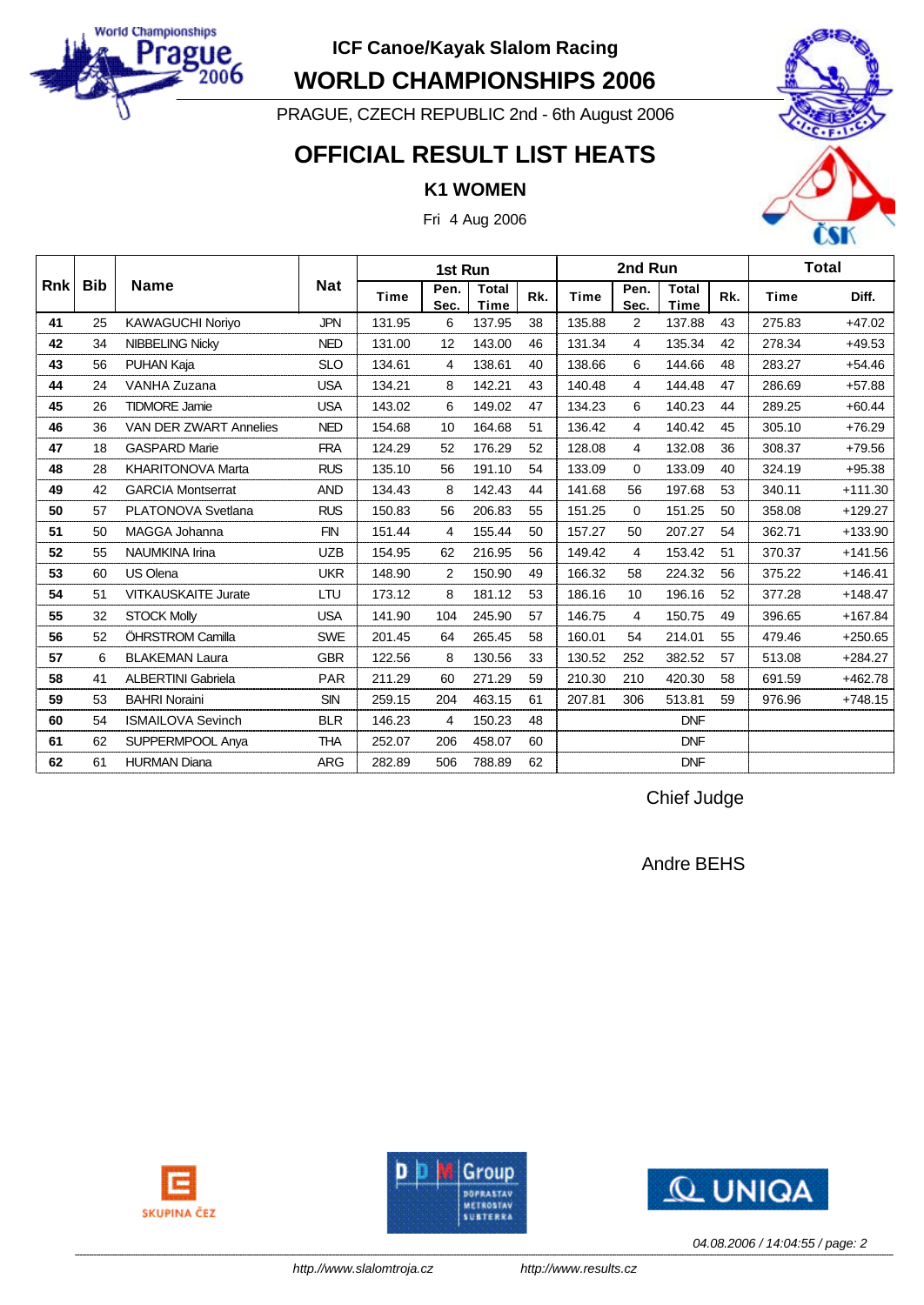

**WORLD CHAMPIONSHIPS 2006**

PRAGUE, CZECH REPUBLIC 2nd - 6th August 2006

### **OFFICIAL RESULT LIST HEATS**

#### **K1 WOMEN**

Fri 4 Aug 2006



|            |            |                            |            | 1st Run     |                |                             |     |             | 2nd Run        |                      |     |             | <b>Total</b> |
|------------|------------|----------------------------|------------|-------------|----------------|-----------------------------|-----|-------------|----------------|----------------------|-----|-------------|--------------|
| <b>Rnk</b> | <b>Bib</b> | <b>Name</b>                | <b>Nat</b> | <b>Time</b> | Pen.<br>Sec.   | <b>Total</b><br><b>Time</b> | Rk. | <b>Time</b> | Pen.<br>Sec.   | <b>Total</b><br>Time | Rk. | <b>Time</b> | Diff.        |
| 41         | 25         | <b>KAWAGUCHI Noriyo</b>    | <b>JPN</b> | 131.95      | 6              | 137.95                      | 38  | 135.88      | 2              | 137.88               | 43  | 275.83      | $+47.02$     |
| 42         | 34         | <b>NIBBELING Nicky</b>     | <b>NED</b> | 131.00      | 12             | 143.00                      | 46  | 131.34      | $\overline{4}$ | 135.34               | 42  | 278.34      | $+49.53$     |
| 43         | 56         | PUHAN Kaja                 | <b>SLO</b> | 134.61      | 4              | 138.61                      | 40  | 138.66      | 6              | 144.66               | 48  | 283.27      | $+54.46$     |
| 44         | 24         | <b>VANHA Zuzana</b>        | <b>USA</b> | 134.21      | 8              | 142.21                      | 43  | 140.48      | 4              | 144.48               | 47  | 286.69      | $+57.88$     |
| 45         | 26         | <b>TIDMORE Jamie</b>       | <b>USA</b> | 143.02      | 6              | 149.02                      | 47  | 134.23      | 6              | 140.23               | 44  | 289.25      | $+60.44$     |
| 46         | 36         | VAN DER ZWART Annelies     | <b>NED</b> | 154.68      | 10             | 164.68                      | 51  | 136.42      | 4              | 140.42               | 45  | 305.10      | $+76.29$     |
| 47         | 18         | <b>GASPARD Marie</b>       | <b>FRA</b> | 124.29      | 52             | 176.29                      | 52  | 128.08      | 4              | 132.08               | 36  | 308.37      | $+79.56$     |
| 48         | 28         | <b>KHARITONOVA Marta</b>   | <b>RUS</b> | 135.10      | 56             | 191.10                      | 54  | 133.09      | $\mathbf 0$    | 133.09               | 40  | 324.19      | $+95.38$     |
| 49         | 42         | <b>GARCIA Montserrat</b>   | <b>AND</b> | 134.43      | 8              | 142.43                      | 44  | 141.68      | 56             | 197.68               | 53  | 340.11      | $+111.30$    |
| 50         | 57         | PLATONOVA Svetlana         | <b>RUS</b> | 150.83      | 56             | 206.83                      | 55  | 151.25      | $\mathbf 0$    | 151.25               | 50  | 358.08      | $+129.27$    |
| 51         | 50         | MAGGA Johanna              | <b>FIN</b> | 151.44      | 4              | 155.44                      | 50  | 157.27      | 50             | 207.27               | 54  | 362.71      | +133.90      |
| 52         | 55         | <b>NAUMKINA Irina</b>      | <b>UZB</b> | 154.95      | 62             | 216.95                      | 56  | 149.42      | $\overline{4}$ | 153.42               | 51  | 370.37      | $+141.56$    |
| 53         | 60         | US Olena                   | <b>UKR</b> | 148.90      | $\overline{2}$ | 150.90                      | 49  | 166.32      | 58             | 224.32               | 56  | 375.22      | $+146.41$    |
| 54         | 51         | <b>VITKAUSKAITE Jurate</b> | LTU        | 173.12      | 8              | 181.12                      | 53  | 186.16      | 10             | 196.16               | 52  | 377.28      | $+148.47$    |
| 55         | 32         | <b>STOCK Molly</b>         | <b>USA</b> | 141.90      | 104            | 245.90                      | 57  | 146.75      | $\overline{4}$ | 150.75               | 49  | 396.65      | $+167.84$    |
| 56         | 52         | ÖHRSTROM Camilla           | <b>SWE</b> | 201.45      | 64             | 265.45                      | 58  | 160.01      | 54             | 214.01               | 55  | 479.46      | $+250.65$    |
| 57         | 6          | <b>BLAKEMAN Laura</b>      | <b>GBR</b> | 122.56      | 8              | 130.56                      | 33  | 130.52      | 252            | 382.52               | 57  | 513.08      | $+284.27$    |
| 58         | 41         | <b>ALBERTINI Gabriela</b>  | <b>PAR</b> | 211.29      | 60             | 271.29                      | 59  | 210.30      | 210            | 420.30               | 58  | 691.59      | $+462.78$    |
| 59         | 53         | <b>BAHRI Noraini</b>       | <b>SIN</b> | 259.15      | 204            | 463.15                      | 61  | 207.81      | 306            | 513.81               | 59  | 976.96      | $+748.15$    |
| 60         | 54         | <b>ISMAILOVA Sevinch</b>   | <b>BLR</b> | 146.23      | 4              | 150.23                      | 48  |             |                | <b>DNF</b>           |     |             |              |
| 61         | 62         | SUPPERMPOOL Anya           | <b>THA</b> | 252.07      | 206            | 458.07                      | 60  |             |                | <b>DNF</b>           |     |             |              |
| 62         | 61         | <b>HURMAN Diana</b>        | <b>ARG</b> | 282.89      | 506            | 788.89                      | 62  |             |                | <b>DNF</b>           |     |             |              |

Chief Judge

Andre BEHS







*04.08.2006 / 14:04:55 / page: 2*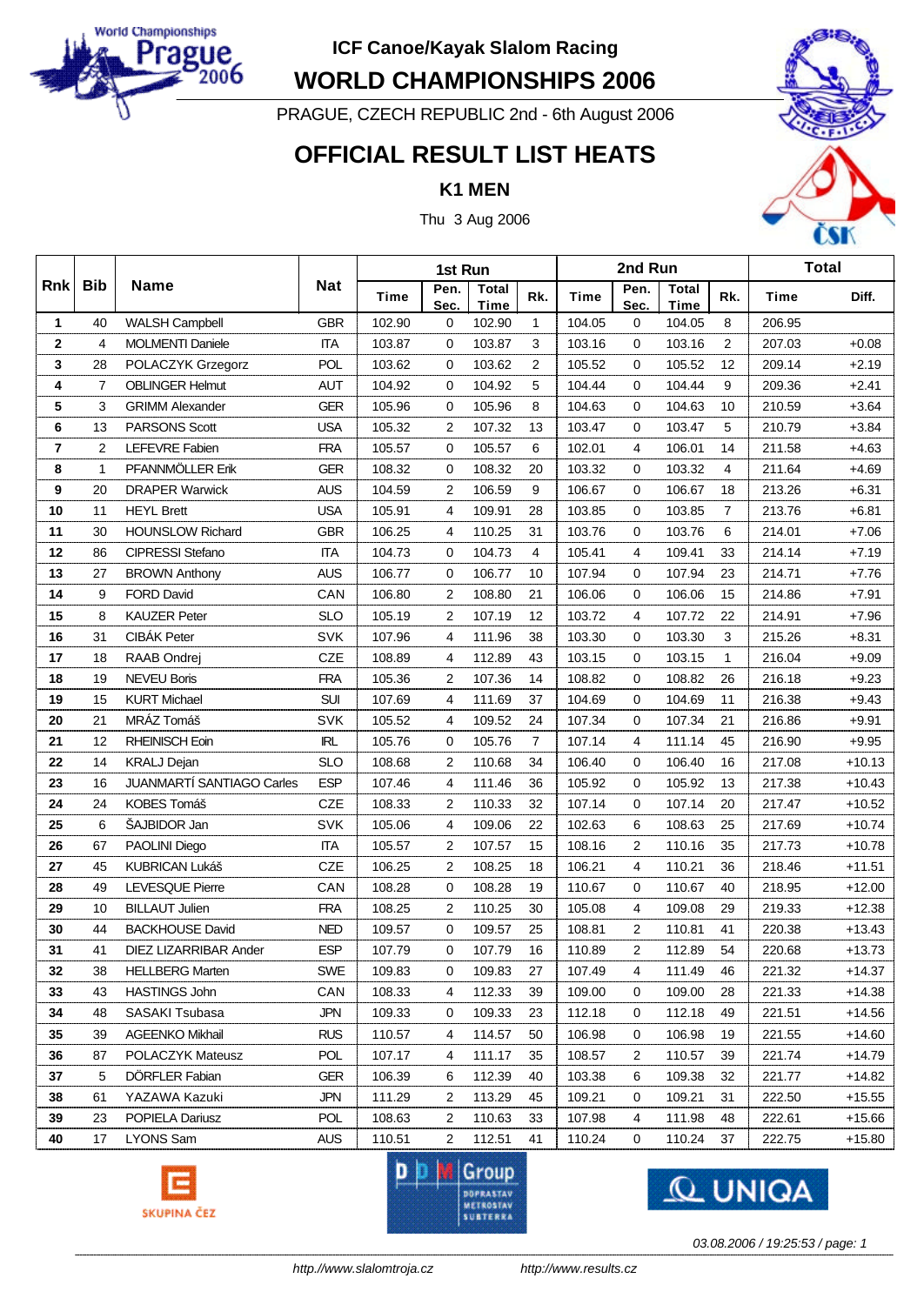

**WORLD CHAMPIONSHIPS 2006**

PRAGUE, CZECH REPUBLIC 2nd - 6th August 2006

## **OFFICIAL RESULT LIST HEATS**

**K1 MEN**

Thu 3 Aug 2006



|                |                |                           |            | 1st Run     |                |                      |                   |             | 2nd Run        |                      |                | <b>Total</b> |          |
|----------------|----------------|---------------------------|------------|-------------|----------------|----------------------|-------------------|-------------|----------------|----------------------|----------------|--------------|----------|
| <b>Rnk</b>     | <b>Bib</b>     | <b>Name</b>               | <b>Nat</b> | <b>Time</b> | Pen.<br>Sec.   | Total<br><b>Time</b> | Rk.               | <b>Time</b> | Pen.<br>Sec.   | <b>Total</b><br>Time | Rk.            | <b>Time</b>  | Diff.    |
| 1              | 40             | <b>WALSH Campbell</b>     | <b>GBR</b> | 102.90      | 0              | 102.90               | 1                 | 104.05      | 0              | 104.05               | 8              | 206.95       |          |
| $\mathbf{2}$   | 4              | <b>MOLMENTI Daniele</b>   | <b>ITA</b> | 103.87      | 0              | 103.87               | 3                 | 103.16      | 0              | 103.16               | $\overline{2}$ | 207.03       | $+0.08$  |
| 3              | 28             | POLACZYK Grzegorz         | POL        | 103.62      | 0              | 103.62               | 2                 | 105.52      | 0              | 105.52               | 12             | 209.14       | $+2.19$  |
| 4              | $\overline{7}$ | <b>OBLINGER Helmut</b>    | <b>AUT</b> | 104.92      | 0              | 104.92               | 5                 | 104.44      | 0              | 104.44               | 9              | 209.36       | $+2.41$  |
| 5              | 3              | <b>GRIMM Alexander</b>    | <b>GER</b> | 105.96      | 0              | 105.96               | 8                 | 104.63      | 0              | 104.63               | 10             | 210.59       | $+3.64$  |
| 6              | 13             | <b>PARSONS Scott</b>      | <b>USA</b> | 105.32      | 2              | 107.32               | 13                | 103.47      | 0              | 103.47               | 5              | 210.79       | $+3.84$  |
| $\overline{7}$ | $\overline{2}$ | LEFEVRE Fabien            | <b>FRA</b> | 105.57      | $\mathbf 0$    | 105.57               | 6                 | 102.01      | 4              | 106.01               | 14             | 211.58       | $+4.63$  |
| 8              | $\mathbf{1}$   | PFANNMÖLLER Erik          | <b>GER</b> | 108.32      | 0              | 108.32               | 20                | 103.32      | 0              | 103.32               | $\overline{4}$ | 211.64       | $+4.69$  |
| 9              | 20             | <b>DRAPER Warwick</b>     | <b>AUS</b> | 104.59      | 2              | 106.59               | 9                 | 106.67      | 0              | 106.67               | 18             | 213.26       | $+6.31$  |
| 10             | 11             | <b>HEYL Brett</b>         | <b>USA</b> | 105.91      | 4              | 109.91               | 28                | 103.85      | 0              | 103.85               | $\overline{7}$ | 213.76       | $+6.81$  |
| 11             | 30             | <b>HOUNSLOW Richard</b>   | <b>GBR</b> | 106.25      | 4              | 110.25               | 31                | 103.76      | 0              | 103.76               | 6              | 214.01       | $+7.06$  |
| 12             | 86             | <b>CIPRESSI Stefano</b>   | <b>ITA</b> | 104.73      | 0              | 104.73               | 4                 | 105.41      | 4              | 109.41               | 33             | 214.14       | $+7.19$  |
| 13             | 27             | <b>BROWN Anthony</b>      | <b>AUS</b> | 106.77      | 0              | 106.77               | 10                | 107.94      | 0              | 107.94               | 23             | 214.71       | $+7.76$  |
| 14             | 9              | <b>FORD David</b>         | CAN        | 106.80      | $\overline{2}$ | 108.80               | 21                | 106.06      | 0              | 106.06               | 15             | 214.86       | $+7.91$  |
| 15             | 8              | <b>KAUZER Peter</b>       | <b>SLO</b> | 105.19      | $\overline{2}$ | 107.19               | $12 \overline{ }$ | 103.72      | 4              | 107.72               | 22             | 214.91       | $+7.96$  |
| 16             | 31             | CIBÁK Peter               | <b>SVK</b> | 107.96      | 4              | 111.96               | 38                | 103.30      | 0              | 103.30               | 3              | 215.26       | $+8.31$  |
| 17             | 18             | RAAB Ondrej               | <b>CZE</b> | 108.89      | 4              | 112.89               | 43                | 103.15      | 0              | 103.15               | $\mathbf{1}$   | 216.04       | $+9.09$  |
| 18             | 19             | <b>NEVEU Boris</b>        | <b>FRA</b> | 105.36      | $\overline{2}$ | 107.36               | 14                | 108.82      | 0              | 108.82               | 26             | 216.18       | $+9.23$  |
| 19             | 15             | <b>KURT Michael</b>       | <b>SUI</b> | 107.69      | 4              | 111.69               | 37                | 104.69      | 0              | 104.69               | 11             | 216.38       | $+9.43$  |
| 20             | 21             | MRÁZ Tomáš                | <b>SVK</b> | 105.52      | 4              | 109.52               | 24                | 107.34      | 0              | 107.34               | 21             | 216.86       | $+9.91$  |
| 21             | 12             | <b>RHEINISCH Eoin</b>     | <b>IRL</b> | 105.76      | 0              | 105.76               | $\overline{7}$    | 107.14      | 4              | 111.14               | 45             | 216.90       | $+9.95$  |
| 22             | 14             | <b>KRALJ Dejan</b>        | <b>SLO</b> | 108.68      | $\overline{2}$ | 110.68               | 34                | 106.40      | 0              | 106.40               | 16             | 217.08       | $+10.13$ |
| 23             | 16             | JUANMARTÍ SANTIAGO Carles | <b>ESP</b> | 107.46      | $\overline{4}$ | 111.46               | 36                | 105.92      | $\mathbf 0$    | 105.92               | 13             | 217.38       | $+10.43$ |
| 24             | 24             | KOBES Tomáš               | CZE        | 108.33      | $\overline{2}$ | 110.33               | 32                | 107.14      | 0              | 107.14               | 20             | 217.47       | $+10.52$ |
| 25             | 6              | ŠAJBIDOR Jan              | <b>SVK</b> | 105.06      | 4              | 109.06               | 22                | 102.63      | 6              | 108.63               | 25             | 217.69       | $+10.74$ |
| 26             | 67             | PAOLINI Diego             | <b>ITA</b> | 105.57      | $\overline{2}$ | 107.57               | 15                | 108.16      | 2              | 110.16               | 35             | 217.73       | $+10.78$ |
| 27             | 45             | <b>KUBRICAN Lukáš</b>     | CZE        | 106.25      | 2              | 108.25               | 18                | 106.21      | 4              | 110.21               | 36             | 218.46       | $+11.51$ |
| 28             | 49             | <b>LEVESQUE Pierre</b>    | CAN        | 108.28      | 0              | 108.28               | 19                | 110.67      | 0              | 110.67               | 40             | 218.95       | $+12.00$ |
| 29             | 10             | <b>BILLAUT Julien</b>     | <b>FRA</b> | 108.25      | 2              | 110.25               | 30                | 105.08      | 4              | 109.08               | 29             | 219.33       | $+12.38$ |
| 30             | 44             | <b>BACKHOUSE David</b>    | <b>NED</b> | 109.57      | 0              | 109.57               | 25                | 108.81      | $\overline{2}$ | 110.81               | 41             | 220.38       | $+13.43$ |
| 31             | 41             | DIEZ LIZARRIBAR Ander     | <b>ESP</b> | 107.79      | 0              | 107.79               | 16                | 110.89      | $\overline{2}$ | 112.89               | 54             | 220.68       | $+13.73$ |
| 32             | 38             | <b>HELLBERG Marten</b>    | <b>SWE</b> | 109.83      | 0              | 109.83               | 27                | 107.49      | 4              | 111.49               | 46             | 221.32       | +14.37   |
| 33             | 43             | <b>HASTINGS John</b>      | CAN        | 108.33      | 4              | 112.33               | 39                | 109.00      | 0              | 109.00               | 28             | 221.33       | $+14.38$ |
| 34             | 48             | SASAKI Tsubasa            | JPN        | 109.33      | 0              | 109.33               | 23                | 112.18      | 0              | 112.18               | 49             | 221.51       | $+14.56$ |
| 35             | 39             | <b>AGEENKO Mikhail</b>    | <b>RUS</b> | 110.57      | 4              | 114.57               | 50                | 106.98      | 0              | 106.98               | 19             | 221.55       | $+14.60$ |
| 36             | 87             | POLACZYK Mateusz          | <b>POL</b> | 107.17      | 4              | 111.17               | 35                | 108.57      | $\overline{c}$ | 110.57               | 39             | 221.74       | $+14.79$ |
| 37             | 5              | DÖRFLER Fabian            | <b>GER</b> | 106.39      | 6              | 112.39               | 40                | 103.38      | 6              | 109.38               | 32             | 221.77       | $+14.82$ |
| 38             | 61             | YAZAWA Kazuki             | JPN        | 111.29      | 2              | 113.29               | 45                | 109.21      | 0              | 109.21               | 31             | 222.50       | $+15.55$ |
| 39             | 23             | POPIELA Dariusz           | POL        | 108.63      | 2              | 110.63               | 33                | 107.98      | 4              | 111.98               | 48             | 222.61       | $+15.66$ |
| 40             | 17             | LYONS Sam                 | <b>AUS</b> | 110.51      | $\overline{2}$ | 112.51               | 41                | 110.24      | 0              | 110.24               | 37             | 222.75       | $+15.80$ |







*03.08.2006 / 19:25:53 / page: 1*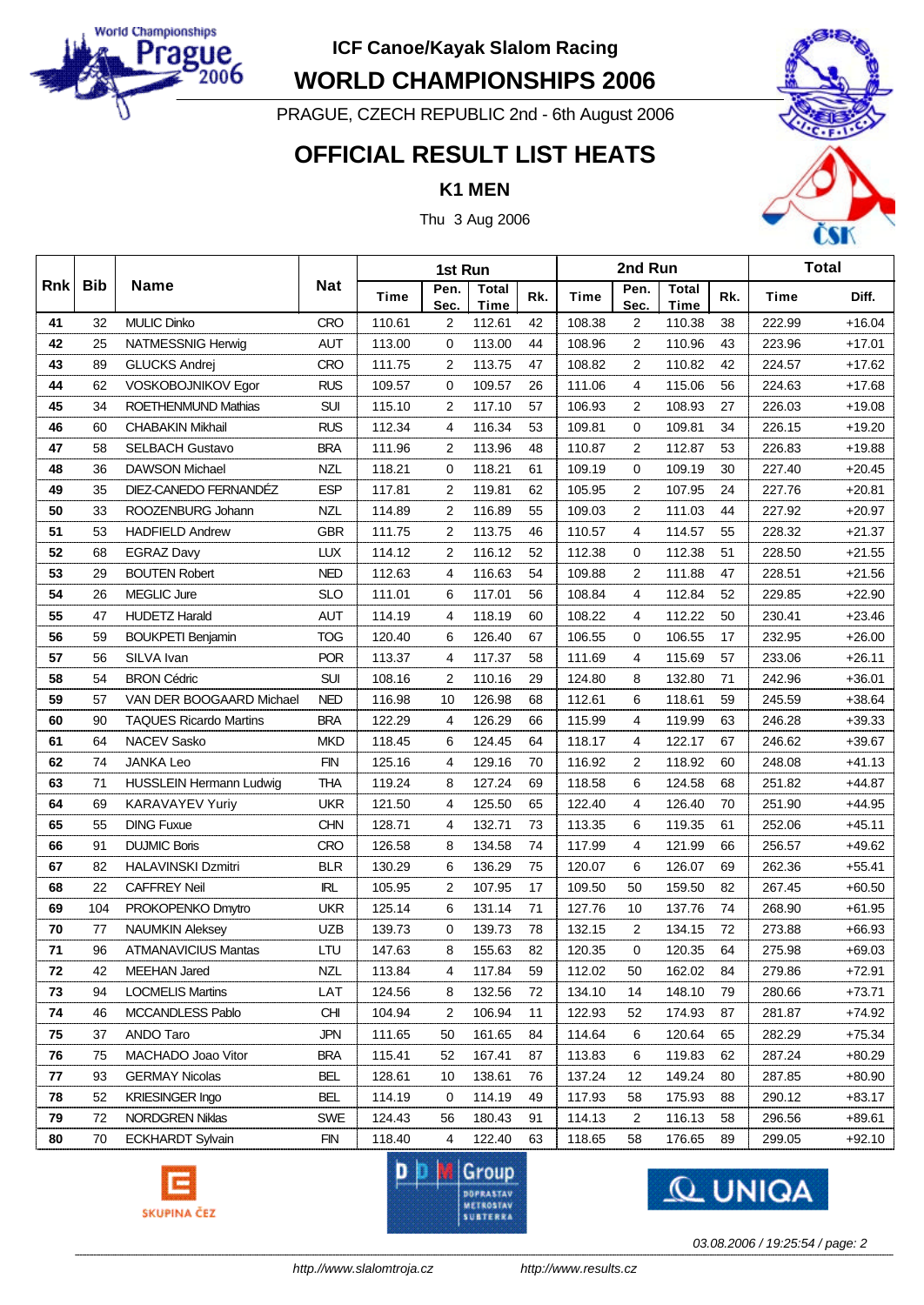

**WORLD CHAMPIONSHIPS 2006**

PRAGUE, CZECH REPUBLIC 2nd - 6th August 2006

### **OFFICIAL RESULT LIST HEATS**

#### **K1 MEN**

Thu 3 Aug 2006



|            |            |                                |            |        |                | 2nd Run              |     |        | <b>Total</b>   |                      |     |             |          |
|------------|------------|--------------------------------|------------|--------|----------------|----------------------|-----|--------|----------------|----------------------|-----|-------------|----------|
| <b>Rnk</b> | <b>Bib</b> | <b>Name</b>                    | <b>Nat</b> | Time   | Pen.<br>Sec.   | Total<br><b>Time</b> | Rk. | Time   | Pen.<br>Sec.   | <b>Total</b><br>Time | Rk. | <b>Time</b> | Diff.    |
| 41         | 32         | <b>MULIC Dinko</b>             | <b>CRO</b> | 110.61 | 2              | 112.61               | 42  | 108.38 | 2              | 110.38               | 38  | 222.99      | $+16.04$ |
| 42         | 25         | NATMESSNIG Herwig              | <b>AUT</b> | 113.00 | 0              | 113.00               | 44  | 108.96 | 2              | 110.96               | 43  | 223.96      | $+17.01$ |
| 43         | 89         | <b>GLUCKS Andrej</b>           | <b>CRO</b> | 111.75 | 2              | 113.75               | 47  | 108.82 | 2              | 110.82               | 42  | 224.57      | $+17.62$ |
| 44         | 62         | VOSKOBOJNIKOV Egor             | <b>RUS</b> | 109.57 | 0              | 109.57               | 26  | 111.06 | 4              | 115.06               | 56  | 224.63      | $+17.68$ |
| 45         | 34         | ROETHENMUND Mathias            | <b>SUI</b> | 115.10 | 2              | 117.10               | 57  | 106.93 | 2              | 108.93               | 27  | 226.03      | $+19.08$ |
| 46         | 60         | <b>CHABAKIN Mikhail</b>        | <b>RUS</b> | 112.34 | 4              | 116.34               | 53  | 109.81 | 0              | 109.81               | 34  | 226.15      | $+19.20$ |
| 47         | 58         | <b>SELBACH Gustavo</b>         | <b>BRA</b> | 111.96 | $\overline{2}$ | 113.96               | 48  | 110.87 | $\overline{2}$ | 112.87               | 53  | 226.83      | $+19.88$ |
| 48         | 36         | <b>DAWSON Michael</b>          | <b>NZL</b> | 118.21 | 0              | 118.21               | 61  | 109.19 | 0              | 109.19               | 30  | 227.40      | $+20.45$ |
| 49         | 35         | DIEZ-CANEDO FERNANDÉZ          | <b>ESP</b> | 117.81 | 2              | 119.81               | 62  | 105.95 | 2              | 107.95               | 24  | 227.76      | $+20.81$ |
| 50         | 33         | ROOZENBURG Johann              | <b>NZL</b> | 114.89 | 2              | 116.89               | 55  | 109.03 | $\overline{2}$ | 111.03               | 44  | 227.92      | $+20.97$ |
| 51         | 53         | <b>HADFIELD Andrew</b>         | <b>GBR</b> | 111.75 | 2              | 113.75               | 46  | 110.57 | 4              | 114.57               | 55  | 228.32      | $+21.37$ |
| 52         | 68         | <b>EGRAZ Davy</b>              | <b>LUX</b> | 114.12 | $\overline{2}$ | 116.12               | 52  | 112.38 | 0              | 112.38               | 51  | 228.50      | $+21.55$ |
| 53         | 29         | <b>BOUTEN Robert</b>           | <b>NED</b> | 112.63 | 4              | 116.63               | 54  | 109.88 | $\overline{2}$ | 111.88               | 47  | 228.51      | $+21.56$ |
| 54         | 26         | MEGLIC Jure                    | <b>SLO</b> | 111.01 | 6              | 117.01               | 56  | 108.84 | 4              | 112.84               | 52  | 229.85      | $+22.90$ |
| 55         | 47         | <b>HUDETZ Harald</b>           | <b>AUT</b> | 114.19 | 4              | 118.19               | 60  | 108.22 | 4              | 112.22               | 50  | 230.41      | $+23.46$ |
| 56         | 59         | <b>BOUKPETI Benjamin</b>       | <b>TOG</b> | 120.40 | 6              | 126.40               | 67  | 106.55 | 0              | 106.55               | 17  | 232.95      | $+26.00$ |
| 57         | 56         | SILVA Ivan                     | <b>POR</b> | 113.37 | 4              | 117.37               | 58  | 111.69 | 4              | 115.69               | 57  | 233.06      | $+26.11$ |
| 58         | 54         | <b>BRON Cédric</b>             | <b>SUI</b> | 108.16 | 2              | 110.16               | 29  | 124.80 | 8              | 132.80               | 71  | 242.96      | $+36.01$ |
| 59         | 57         | VAN DER BOOGAARD Michael       | <b>NED</b> | 116.98 | 10             | 126.98               | 68  | 112.61 | 6              | 118.61               | 59  | 245.59      | $+38.64$ |
| 60         | 90         | <b>TAQUES Ricardo Martins</b>  | <b>BRA</b> | 122.29 | 4              | 126.29               | 66  | 115.99 | 4              | 119.99               | 63  | 246.28      | $+39.33$ |
| 61         | 64         | NACEV Sasko                    | <b>MKD</b> | 118.45 | 6              | 124.45               | 64  | 118.17 | 4              | 122.17               | 67  | 246.62      | $+39.67$ |
| 62         | 74         | <b>JANKA Leo</b>               | <b>FIN</b> | 125.16 | 4              | 129.16               | 70  | 116.92 | $\overline{2}$ | 118.92               | 60  | 248.08      | $+41.13$ |
| 63         | 71         | <b>HUSSLEIN Hermann Ludwig</b> | <b>THA</b> | 119.24 | 8              | 127.24               | 69  | 118.58 | 6              | 124.58               | 68  | 251.82      | $+44.87$ |
| 64         | 69         | KARAVAYEV Yuriy                | <b>UKR</b> | 121.50 | 4              | 125.50               | 65  | 122.40 | 4              | 126.40               | 70  | 251.90      | $+44.95$ |
| 65         | 55         | <b>DING Fuxue</b>              | <b>CHN</b> | 128.71 | 4              | 132.71               | 73  | 113.35 | 6              | 119.35               | 61  | 252.06      | $+45.11$ |
| 66         | 91         | <b>DUJMIC Boris</b>            | <b>CRO</b> | 126.58 | 8              | 134.58               | 74  | 117.99 | 4              | 121.99               | 66  | 256.57      | $+49.62$ |
| 67         | 82         | HALAVINSKI Dzmitri             | <b>BLR</b> | 130.29 | 6              | 136.29               | 75  | 120.07 | 6              | 126.07               | 69  | 262.36      | $+55.41$ |
| 68         | 22         | <b>CAFFREY Neil</b>            | <b>IRL</b> | 105.95 | 2              | 107.95               | 17  | 109.50 | 50             | 159.50               | 82  | 267.45      | $+60.50$ |
| 69         | 104        | PROKOPENKO Dmytro              | <b>UKR</b> | 125.14 | 6              | 131.14               | 71  | 127.76 | 10             | 137.76               | 74  | 268.90      | $+61.95$ |
| 70         | 77         | <b>NAUMKIN Aleksey</b>         | <b>UZB</b> | 139.73 | 0              | 139.73               | 78  | 132.15 | $\overline{2}$ | 134.15               | 72  | 273.88      | $+66.93$ |
| $\bf 71$   | 96         | <b>ATMANAVICIUS Mantas</b>     | LTU        | 147.63 | 8              | 155.63               | 82  | 120.35 | 0              | 120.35               | 64  | 275.98      | $+69.03$ |
| 72         | 42         | <b>MEEHAN Jared</b>            | <b>NZL</b> | 113.84 | 4              | 117.84               | 59  | 112.02 | 50             | 162.02               | 84  | 279.86      | $+72.91$ |
| 73         | 94         | <b>LOCMELIS Martins</b>        | LAT        | 124.56 | 8              | 132.56               | 72  | 134.10 | 14             | 148.10               | 79  | 280.66      | $+73.71$ |
| 74         | 46         | MCCANDLESS Pablo               | <b>CHI</b> | 104.94 | 2              | 106.94               | 11  | 122.93 | 52             | 174.93               | 87  | 281.87      | $+74.92$ |
| 75         | 37         | ANDO Taro                      | <b>JPN</b> | 111.65 | 50             | 161.65               | 84  | 114.64 | 6              | 120.64               | 65  | 282.29      | $+75.34$ |
| 76         | 75         | MACHADO Joao Vitor             | <b>BRA</b> | 115.41 | 52             | 167.41               | 87  | 113.83 | 6              | 119.83               | 62  | 287.24      | $+80.29$ |
| 77         | 93         | <b>GERMAY Nicolas</b>          | <b>BEL</b> | 128.61 | 10             | 138.61               | 76  | 137.24 | 12             | 149.24               | 80  | 287.85      | $+80.90$ |
| 78         | 52         | <b>KRIESINGER Ingo</b>         | <b>BEL</b> | 114.19 | 0              | 114.19               | 49  | 117.93 | 58             | 175.93               | 88  | 290.12      | $+83.17$ |
| 79         | 72         | <b>NORDGREN Niklas</b>         | <b>SWE</b> | 124.43 | 56             | 180.43               | 91  | 114.13 | $\overline{2}$ | 116.13               | 58  | 296.56      | $+89.61$ |
| 80         | 70         | <b>ECKHARDT Sylvain</b>        | <b>FIN</b> | 118.40 | 4              | 122.40               | 63  | 118.65 | 58             | 176.65               | 89  | 299.05      | $+92.10$ |







*03.08.2006 / 19:25:54 / page: 2*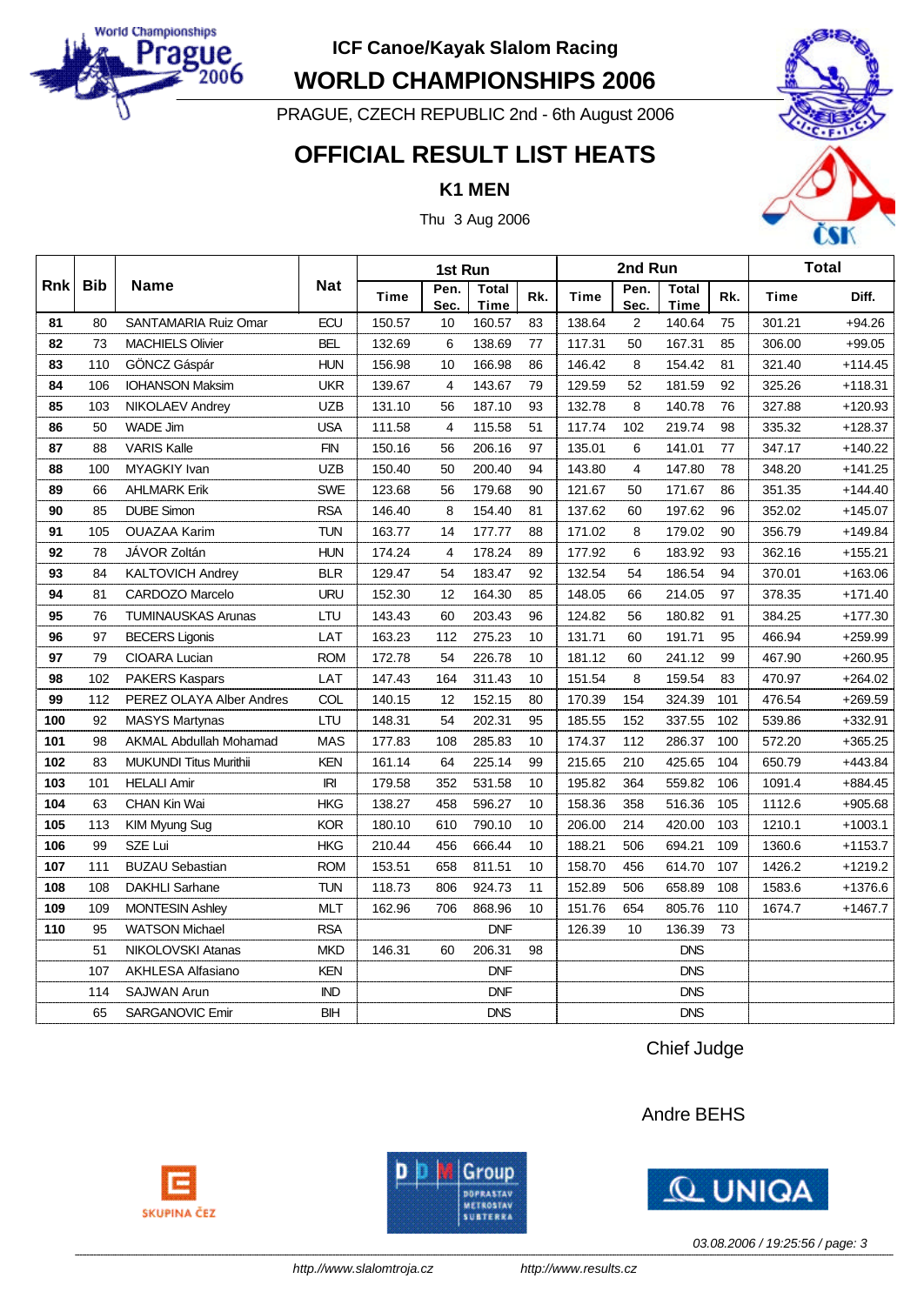

**WORLD CHAMPIONSHIPS 2006**

PRAGUE, CZECH REPUBLIC 2nd - 6th August 2006

### **OFFICIAL RESULT LIST HEATS**

**K1 MEN**

Thu 3 Aug 2006



|            |            |                               |            | 1st Run |              |                             |     |        | 2nd Run      |                      |     | <b>Total</b> |           |  |
|------------|------------|-------------------------------|------------|---------|--------------|-----------------------------|-----|--------|--------------|----------------------|-----|--------------|-----------|--|
| <b>Rnk</b> | <b>Bib</b> | Name                          | <b>Nat</b> | Time    | Pen.<br>Sec. | <b>Total</b><br><b>Time</b> | Rk. | Time   | Pen.<br>Sec. | <b>Total</b><br>Time | Rk. | Time         | Diff.     |  |
| 81         | 80         | SANTAMARIA Ruiz Omar          | <b>ECU</b> | 150.57  | 10           | 160.57                      | 83  | 138.64 | 2            | 140.64               | 75  | 301.21       | $+94.26$  |  |
| 82         | 73         | <b>MACHIELS Olivier</b>       | <b>BEL</b> | 132.69  | 6            | 138.69                      | 77  | 117.31 | 50           | 167.31               | 85  | 306.00       | $+99.05$  |  |
| 83         | 110        | GÖNCZ Gáspár                  | <b>HUN</b> | 156.98  | 10           | 166.98                      | 86  | 146.42 | 8            | 154.42               | 81  | 321.40       | $+114.45$ |  |
| 84         | 106        | <b>IOHANSON Maksim</b>        | <b>UKR</b> | 139.67  | 4            | 143.67                      | 79  | 129.59 | 52           | 181.59               | 92  | 325.26       | $+118.31$ |  |
| 85         | 103        | <b>NIKOLAEV Andrey</b>        | <b>UZB</b> | 131.10  | 56           | 187.10                      | 93  | 132.78 | 8            | 140.78               | 76  | 327.88       | $+120.93$ |  |
| 86         | 50         | <b>WADE Jim</b>               | <b>USA</b> | 111.58  | 4            | 115.58                      | 51  | 117.74 | 102          | 219.74               | 98  | 335.32       | $+128.37$ |  |
| 87         | 88         | <b>VARIS Kalle</b>            | <b>FIN</b> | 150.16  | 56           | 206.16                      | 97  | 135.01 | 6            | 141.01               | 77  | 347.17       | $+140.22$ |  |
| 88         | 100        | MYAGKIY Ivan                  | <b>UZB</b> | 150.40  | 50           | 200.40                      | 94  | 143.80 | 4            | 147.80               | 78  | 348.20       | $+141.25$ |  |
| 89         | 66         | <b>AHLMARK Erik</b>           | <b>SWE</b> | 123.68  | 56           | 179.68                      | 90  | 121.67 | 50           | 171.67               | 86  | 351.35       | $+144.40$ |  |
| 90         | 85         | <b>DUBE Simon</b>             | <b>RSA</b> | 146.40  | 8            | 154.40                      | 81  | 137.62 | 60           | 197.62               | 96  | 352.02       | $+145.07$ |  |
| 91         | 105        | <b>OUAZAA Karim</b>           | <b>TUN</b> | 163.77  | 14           | 177.77                      | 88  | 171.02 | 8            | 179.02               | 90  | 356.79       | $+149.84$ |  |
| 92         | 78         | JÁVOR Zoltán                  | <b>HUN</b> | 174.24  | 4            | 178.24                      | 89  | 177.92 | 6            | 183.92               | 93  | 362.16       | $+155.21$ |  |
| 93         | 84         | <b>KALTOVICH Andrey</b>       | <b>BLR</b> | 129.47  | 54           | 183.47                      | 92  | 132.54 | 54           | 186.54               | 94  | 370.01       | $+163.06$ |  |
| 94         | 81         | <b>CARDOZO Marcelo</b>        | <b>URU</b> | 152.30  | 12           | 164.30                      | 85  | 148.05 | 66           | 214.05               | 97  | 378.35       | $+171.40$ |  |
| 95         | 76         | <b>TUMINAUSKAS Arunas</b>     | LTU        | 143.43  | 60           | 203.43                      | 96  | 124.82 | 56           | 180.82               | 91  | 384.25       | $+177.30$ |  |
| 96         | 97         | <b>BECERS Ligonis</b>         | LAT        | 163.23  | 112          | 275.23                      | 10  | 131.71 | 60           | 191.71               | 95  | 466.94       | $+259.99$ |  |
| 97         | 79         | CIOARA Lucian                 | <b>ROM</b> | 172.78  | 54           | 226.78                      | 10  | 181.12 | 60           | 241.12               | 99  | 467.90       | $+260.95$ |  |
| 98         | 102        | <b>PAKERS Kaspars</b>         | LAT        | 147.43  | 164          | 311.43                      | 10  | 151.54 | 8            | 159.54               | 83  | 470.97       | $+264.02$ |  |
| 99         | 112        | PEREZ OLAYA Alber Andres      | COL        | 140.15  | 12           | 152.15                      | 80  | 170.39 | 154          | 324.39               | 101 | 476.54       | $+269.59$ |  |
| 100        | 92         | <b>MASYS Martynas</b>         | LTU        | 148.31  | 54           | 202.31                      | 95  | 185.55 | 152          | 337.55               | 102 | 539.86       | +332.91   |  |
| 101        | 98         | <b>AKMAL Abdullah Mohamad</b> | <b>MAS</b> | 177.83  | 108          | 285.83                      | 10  | 174.37 | 112          | 286.37               | 100 | 572.20       | $+365.25$ |  |
| 102        | 83         | <b>MUKUNDI Titus Murithii</b> | <b>KEN</b> | 161.14  | 64           | 225.14                      | 99  | 215.65 | 210          | 425.65               | 104 | 650.79       | $+443.84$ |  |
| 103        | 101        | <b>HELALI Amir</b>            | IRI        | 179.58  | 352          | 531.58                      | 10  | 195.82 | 364          | 559.82               | 106 | 1091.4       | $+884.45$ |  |
| 104        | 63         | CHAN Kin Wai                  | <b>HKG</b> | 138.27  | 458          | 596.27                      | 10  | 158.36 | 358          | 516.36               | 105 | 1112.6       | $+905.68$ |  |
| 105        | 113        | KIM Myung Sug                 | <b>KOR</b> | 180.10  | 610          | 790.10                      | 10  | 206.00 | 214          | 420.00               | 103 | 1210.1       | $+1003.1$ |  |
| 106        | 99         | SZE Lui                       | <b>HKG</b> | 210.44  | 456          | 666.44                      | 10  | 188.21 | 506          | 694.21               | 109 | 1360.6       | $+1153.7$ |  |
| 107        | 111        | <b>BUZAU Sebastian</b>        | <b>ROM</b> | 153.51  | 658          | 811.51                      | 10  | 158.70 | 456          | 614.70               | 107 | 1426.2       | $+1219.2$ |  |
| 108        | 108        | <b>DAKHLI Sarhane</b>         | <b>TUN</b> | 118.73  | 806          | 924.73                      | 11  | 152.89 | 506          | 658.89               | 108 | 1583.6       | +1376.6   |  |
| 109        | 109        | <b>MONTESIN Ashley</b>        | MLT        | 162.96  | 706          | 868.96                      | 10  | 151.76 | 654          | 805.76               | 110 | 1674.7       | $+1467.7$ |  |
| 110        | 95         | <b>WATSON Michael</b>         | <b>RSA</b> |         |              | <b>DNF</b>                  |     | 126.39 | 10           | 136.39               | 73  |              |           |  |
|            | 51         | NIKOLOVSKI Atanas             | <b>MKD</b> | 146.31  | 60           | 206.31                      | 98  |        |              | <b>DNS</b>           |     |              |           |  |
|            | 107        | <b>AKHLESA Alfasiano</b>      | <b>KEN</b> |         |              | <b>DNF</b>                  |     |        |              | <b>DNS</b>           |     |              |           |  |
|            | 114        | <b>SAJWAN Arun</b>            | <b>IND</b> |         |              | <b>DNF</b>                  |     |        |              | <b>DNS</b>           |     |              |           |  |
|            | 65         | SARGANOVIC Emir               | <b>BIH</b> |         |              | <b>DNS</b>                  |     |        |              | <b>DNS</b>           |     |              |           |  |

Chief Judge

#### Andre BEHS







*03.08.2006 / 19:25:56 / page: 3*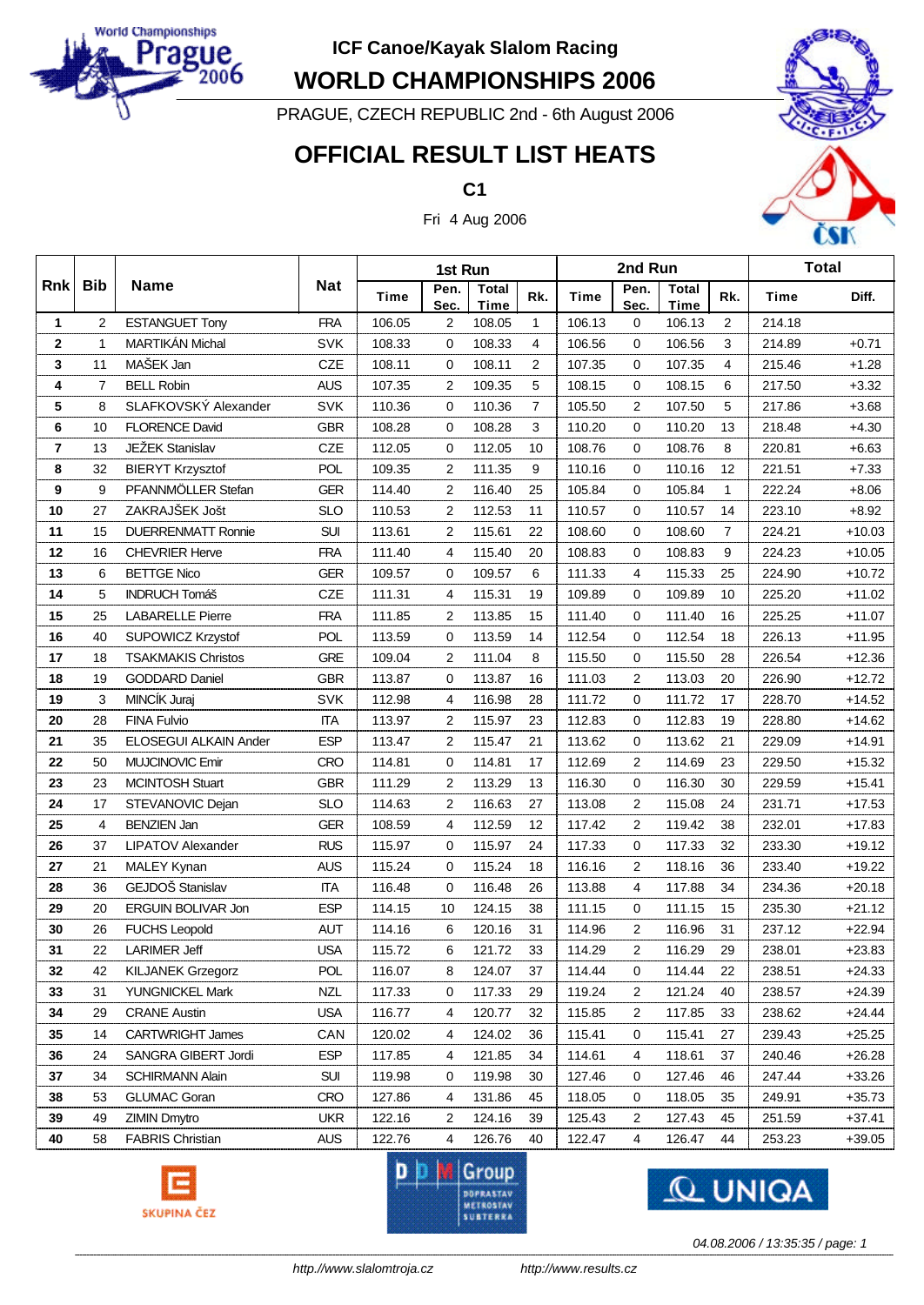

**WORLD CHAMPIONSHIPS 2006**

PRAGUE, CZECH REPUBLIC 2nd - 6th August 2006

# **OFFICIAL RESULT LIST HEATS**

**C1**

Fri 4 Aug 2006



|                         |                |                           |            |             | 1st Run        |                      |                |        | 2nd Run        |                      |                | <b>Total</b> |          |  |
|-------------------------|----------------|---------------------------|------------|-------------|----------------|----------------------|----------------|--------|----------------|----------------------|----------------|--------------|----------|--|
| <b>Rnk</b>              | <b>Bib</b>     | <b>Name</b>               | <b>Nat</b> | <b>Time</b> | Pen.<br>Sec.   | <b>Total</b><br>Time | Rk.            | Time   | Pen.<br>Sec.   | <b>Total</b><br>Time | Rk.            | <b>Time</b>  | Diff.    |  |
| 1                       | 2              | <b>ESTANGUET Tony</b>     | <b>FRA</b> | 106.05      | $\overline{c}$ | 108.05               | $\mathbf{1}$   | 106.13 | 0              | 106.13               | $\overline{2}$ | 214.18       |          |  |
| $\mathbf 2$             | $\mathbf{1}$   | MARTIKÁN Michal           | <b>SVK</b> | 108.33      | $\mathbf 0$    | 108.33               | $\overline{4}$ | 106.56 | $\mathbf 0$    | 106.56               | 3              | 214.89       | $+0.71$  |  |
| 3                       | 11             | MAŠEK Jan                 | CZE        | 108.11      | $\mathbf 0$    | 108.11               | $\overline{2}$ | 107.35 | $\mathbf 0$    | 107.35               | 4              | 215.46       | $+1.28$  |  |
| 4                       | $\overline{7}$ | <b>BELL Robin</b>         | <b>AUS</b> | 107.35      | 2              | 109.35               | 5              | 108.15 | 0              | 108.15               | 6              | 217.50       | $+3.32$  |  |
| 5                       | 8              | SLAFKOVSKÝ Alexander      | SVK        | 110.36      | 0              | 110.36               | $\overline{7}$ | 105.50 | $\overline{2}$ | 107.50               | 5              | 217.86       | $+3.68$  |  |
| 6                       | 10             | <b>FLORENCE David</b>     | <b>GBR</b> | 108.28      | 0              | 108.28               | 3              | 110.20 | 0              | 110.20               | 13             | 218.48       | $+4.30$  |  |
| $\overline{\mathbf{r}}$ | 13             | JEŽEK Stanislav           | CZE        | 112.05      | 0              | 112.05               | 10             | 108.76 | $\mathbf 0$    | 108.76               | 8              | 220.81       | $+6.63$  |  |
| 8                       | 32             | <b>BIERYT Krzysztof</b>   | POL        | 109.35      | 2              | 111.35               | 9              | 110.16 | 0              | 110.16               | 12             | 221.51       | $+7.33$  |  |
| 9                       | 9              | PFANNMÖLLER Stefan        | <b>GER</b> | 114.40      | $\overline{c}$ | 116.40               | 25             | 105.84 | 0              | 105.84               | $\mathbf{1}$   | 222.24       | $+8.06$  |  |
| 10                      | 27             | ZAKRAJŠEK Jošt            | <b>SLO</b> | 110.53      | 2              | 112.53               | 11             | 110.57 | 0              | 110.57               | 14             | 223.10       | $+8.92$  |  |
| 11                      | 15             | <b>DUERRENMATT Ronnie</b> | <b>SUI</b> | 113.61      | 2              | 115.61               | 22             | 108.60 | $\mathbf 0$    | 108.60               | $\overline{7}$ | 224.21       | $+10.03$ |  |
| 12                      | 16             | <b>CHEVRIER Herve</b>     | <b>FRA</b> | 111.40      | 4              | 115.40               | 20             | 108.83 | 0              | 108.83               | 9              | 224.23       | $+10.05$ |  |
| 13                      | 6              | <b>BETTGE Nico</b>        | <b>GER</b> | 109.57      | 0              | 109.57               | 6              | 111.33 | 4              | 115.33               | 25             | 224.90       | $+10.72$ |  |
| 14                      | 5              | <b>INDRUCH Tomáš</b>      | CZE        | 111.31      | 4              | 115.31               | 19             | 109.89 | 0              | 109.89               | 10             | 225.20       | $+11.02$ |  |
| 15                      | 25             | <b>LABARELLE Pierre</b>   | <b>FRA</b> | 111.85      | 2              | 113.85               | 15             | 111.40 | $\mathbf 0$    | 111.40               | 16             | 225.25       | $+11.07$ |  |
| 16                      | 40             | SUPOWICZ Krzystof         | <b>POL</b> | 113.59      | 0              | 113.59               | 14             | 112.54 | 0              | 112.54               | 18             | 226.13       | $+11.95$ |  |
| 17                      | 18             | <b>TSAKMAKIS Christos</b> | <b>GRE</b> | 109.04      | 2              | 111.04               | 8              | 115.50 | $\mathbf 0$    | 115.50               | 28             | 226.54       | $+12.36$ |  |
| 18                      | 19             | <b>GODDARD Daniel</b>     | <b>GBR</b> | 113.87      | 0              | 113.87               | 16             | 111.03 | $\overline{2}$ | 113.03               | 20             | 226.90       | $+12.72$ |  |
| 19                      | 3              | MINCÍK Juraj              | <b>SVK</b> | 112.98      | 4              | 116.98               | 28             | 111.72 | $\mathbf 0$    | 111.72               | 17             | 228.70       | $+14.52$ |  |
| 20                      | 28             | <b>FINA Fulvio</b>        | <b>ITA</b> | 113.97      | 2              | 115.97               | 23             | 112.83 | 0              | 112.83               | 19             | 228.80       | $+14.62$ |  |
| 21                      | 35             | ELOSEGUI ALKAIN Ander     | <b>ESP</b> | 113.47      | 2              | 115.47               | 21             | 113.62 | 0              | 113.62               | 21             | 229.09       | $+14.91$ |  |
| 22                      | 50             | MUJCINOVIC Emir           | <b>CRO</b> | 114.81      | 0              | 114.81               | 17             | 112.69 | $\overline{2}$ | 114.69               | 23             | 229.50       | $+15.32$ |  |
| 23                      | 23             | <b>MCINTOSH Stuart</b>    | <b>GBR</b> | 111.29      | $\overline{c}$ | 113.29               | 13             | 116.30 | $\mathbf 0$    | 116.30               | 30             | 229.59       | $+15.41$ |  |
| 24                      | 17             | STEVANOVIC Dejan          | <b>SLO</b> | 114.63      | 2              | 116.63               | 27             | 113.08 | 2              | 115.08               | 24             | 231.71       | $+17.53$ |  |
| 25                      | 4              | <b>BENZIEN Jan</b>        | <b>GER</b> | 108.59      | 4              | 112.59               | 12             | 117.42 | $\overline{2}$ | 119.42               | 38             | 232.01       | $+17.83$ |  |
| 26                      | 37             | <b>LIPATOV Alexander</b>  | <b>RUS</b> | 115.97      | 0              | 115.97               | 24             | 117.33 | 0              | 117.33               | 32             | 233.30       | $+19.12$ |  |
| 27                      | 21             | MALEY Kynan               | <b>AUS</b> | 115.24      | $\mathbf 0$    | 115.24               | 18             | 116.16 | 2              | 118.16               | 36             | 233.40       | $+19.22$ |  |
| 28                      | 36             | GEJDOŠ Stanislav          | <b>ITA</b> | 116.48      | 0              | 116.48               | 26             | 113.88 | 4              | 117.88               | 34             | 234.36       | $+20.18$ |  |
| 29                      | 20             | ERGUIN BOLIVAR Jon        | <b>ESP</b> | 114.15      | 10             | 124.15               | 38             | 111.15 | 0              | 111.15               | 15             | 235.30       | $+21.12$ |  |
| 30                      | 26             | <b>FUCHS Leopold</b>      | <b>AUT</b> | 114.16      | 6              | 120.16               | 31             | 114.96 | $\overline{2}$ | 116.96               | 31             | 237.12       | $+22.94$ |  |
| 31                      | 22             | <b>LARIMER Jeff</b>       | <b>USA</b> | 115.72      | 6              | 121.72               | 33             | 114.29 | $\overline{2}$ | 116.29               | 29             | 238.01       | $+23.83$ |  |
| 32                      | 42             | <b>KILJANEK Grzegorz</b>  | POL        | 116.07      | 8              | 124.07               | 37             | 114.44 | 0              | 114.44               | 22             | 238.51       | $+24.33$ |  |
| 33                      | 31             | <b>YUNGNICKEL Mark</b>    | <b>NZL</b> | 117.33      | 0              | 117.33               | 29             | 119.24 | 2              | 121.24               | 40             | 238.57       | $+24.39$ |  |
| 34                      | 29             | <b>CRANE Austin</b>       | <b>USA</b> | 116.77      | 4              | 120.77               | 32             | 115.85 | 2              | 117.85               | 33             | 238.62       | $+24.44$ |  |
| 35                      | 14             | <b>CARTWRIGHT James</b>   | CAN        | 120.02      | 4              | 124.02               | 36             | 115.41 | 0              | 115.41               | 27             | 239.43       | $+25.25$ |  |
| 36                      | 24             | SANGRA GIBERT Jordi       | <b>ESP</b> | 117.85      | 4              | 121.85               | 34             | 114.61 | 4              | 118.61               | 37             | 240.46       | +26.28   |  |
| 37                      | 34             | <b>SCHIRMANN Alain</b>    | <b>SUI</b> | 119.98      | 0              | 119.98               | 30             | 127.46 | 0              | 127.46               | 46             | 247.44       | +33.26   |  |
| 38                      | 53             | <b>GLUMAC Goran</b>       | <b>CRO</b> | 127.86      | 4              | 131.86               | 45             | 118.05 | 0              | 118.05               | 35             | 249.91       | $+35.73$ |  |
| 39                      | 49             | ZIMIN Dmytro              | <b>UKR</b> | 122.16      | 2              | 124.16               | 39             | 125.43 | 2              | 127.43               | 45             | 251.59       | $+37.41$ |  |
| 40                      | 58             | <b>FABRIS Christian</b>   | <b>AUS</b> | 122.76      | 4              | 126.76               | 40             | 122.47 | 4              | 126.47               | 44             | 253.23       | +39.05   |  |







*04.08.2006 / 13:35:35 / page: 1*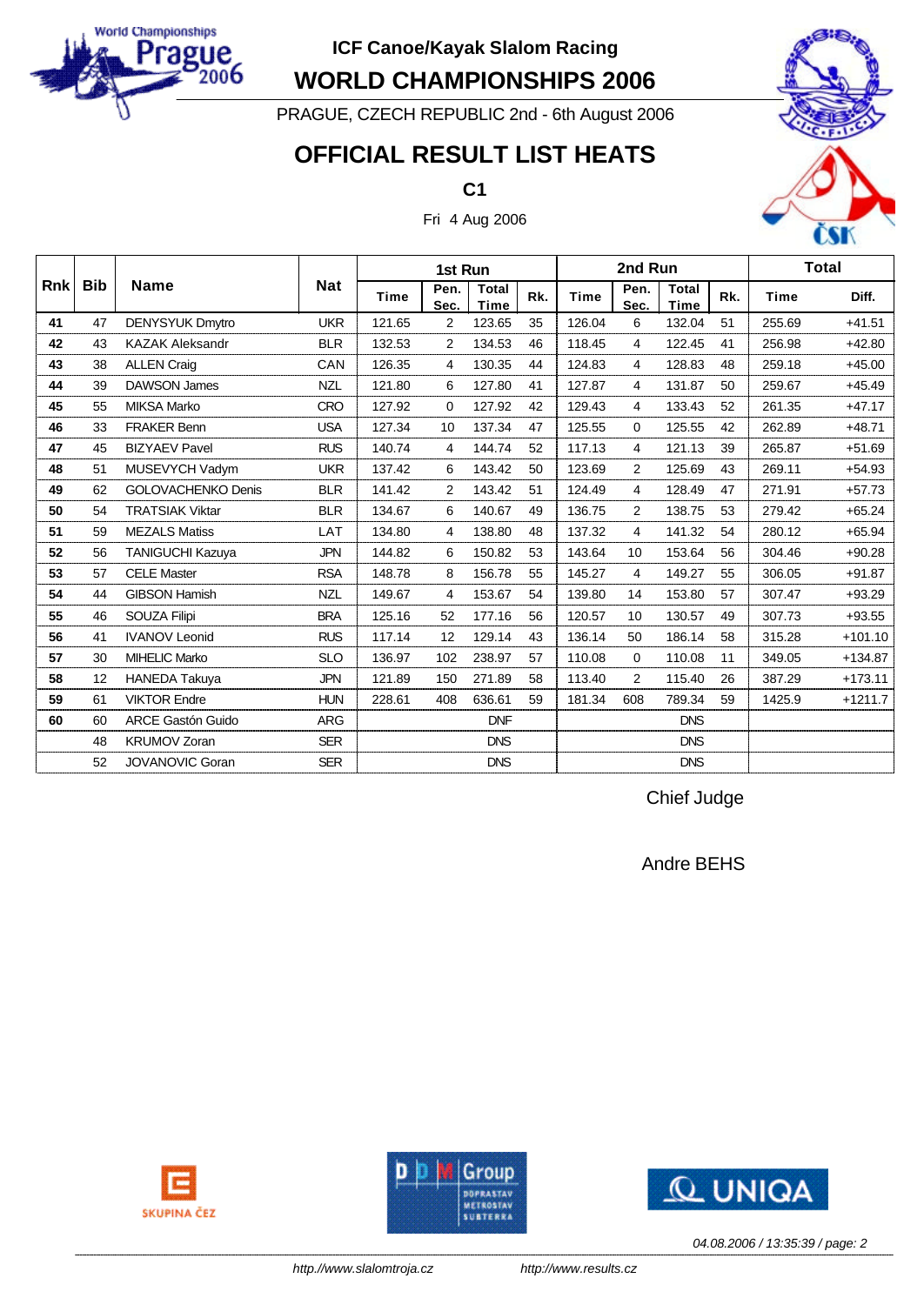

**WORLD CHAMPIONSHIPS 2006**

PRAGUE, CZECH REPUBLIC 2nd - 6th August 2006

## **OFFICIAL RESULT LIST HEATS**

**C1**



Fri 4 Aug 2006

|             |            |                           |            |             | 1st Run        |                             |     |        | 2nd Run        |                             |     | <b>Total</b> |           |
|-------------|------------|---------------------------|------------|-------------|----------------|-----------------------------|-----|--------|----------------|-----------------------------|-----|--------------|-----------|
| <b>Rnkl</b> | <b>Bib</b> | <b>Name</b>               | <b>Nat</b> | <b>Time</b> | Pen.<br>Sec.   | <b>Total</b><br><b>Time</b> | Rk. | Time   | Pen.<br>Sec.   | <b>Total</b><br><b>Time</b> | Rk. | <b>Time</b>  | Diff.     |
| 41          | 47         | <b>DENYSYUK Dmytro</b>    | <b>UKR</b> | 121.65      | 2              | 123.65                      | 35  | 126.04 | 6              | 132.04                      | 51  | 255.69       | $+41.51$  |
| 42          | 43         | <b>KAZAK Aleksandr</b>    | <b>BLR</b> | 132.53      | 2              | 134.53                      | 46  | 118.45 | 4              | 122.45                      | 41  | 256.98       | $+42.80$  |
| 43          | 38         | <b>ALLEN Craig</b>        | CAN        | 126.35      | 4              | 130.35                      | 44  | 124.83 | 4              | 128.83                      | 48  | 259.18       | $+45.00$  |
| 44          | 39         | <b>DAWSON James</b>       | <b>NZL</b> | 121.80      | 6              | 127.80                      | 41  | 127.87 | 4              | 131.87                      | 50  | 259.67       | $+45.49$  |
| 45          | 55         | <b>MIKSA Marko</b>        | <b>CRO</b> | 127.92      | 0              | 127.92                      | 42  | 129.43 | 4              | 133.43                      | 52  | 261.35       | $+47.17$  |
| 46          | 33         | <b>FRAKER Benn</b>        | <b>USA</b> | 127.34      | 10             | 137.34                      | 47  | 125.55 | 0              | 125.55                      | 42  | 262.89       | $+48.71$  |
| 47          | 45         | <b>BIZYAEV Pavel</b>      | <b>RUS</b> | 140.74      | 4              | 144.74                      | 52  | 117.13 | 4              | 121.13                      | 39  | 265.87       | $+51.69$  |
| 48          | 51         | MUSEVYCH Vadym            | <b>UKR</b> | 137.42      | 6              | 143.42                      | 50  | 123.69 | 2              | 125.69                      | 43  | 269.11       | $+54.93$  |
| 49          | 62         | <b>GOLOVACHENKO Denis</b> | <b>BLR</b> | 141.42      | $\overline{2}$ | 143.42                      | 51  | 124.49 | 4              | 128.49                      | 47  | 271.91       | $+57.73$  |
| 50          | 54         | <b>TRATSIAK Viktar</b>    | <b>BLR</b> | 134.67      | 6              | 140.67                      | 49  | 136.75 | $\overline{2}$ | 138.75                      | 53  | 279.42       | $+65.24$  |
| 51          | 59         | <b>MEZALS Matiss</b>      | LAT        | 134.80      | 4              | 138.80                      | 48  | 137.32 | 4              | 141.32                      | 54  | 280.12       | $+65.94$  |
| 52          | 56         | TANIGUCHI Kazuya          | <b>JPN</b> | 144.82      | 6              | 150.82                      | 53  | 143.64 | 10             | 153.64                      | 56  | 304.46       | $+90.28$  |
| 53          | 57         | <b>CELE Master</b>        | <b>RSA</b> | 148.78      | 8              | 156.78                      | 55  | 145.27 | 4              | 149.27                      | 55  | 306.05       | $+91.87$  |
| 54          | 44         | <b>GIBSON Hamish</b>      | <b>NZL</b> | 149.67      | 4              | 153.67                      | 54  | 139.80 | 14             | 153.80                      | 57  | 307.47       | $+93.29$  |
| 55          | 46         | <b>SOUZA Filipi</b>       | <b>BRA</b> | 125.16      | 52             | 177.16                      | 56  | 120.57 | 10             | 130.57                      | 49  | 307.73       | $+93.55$  |
| 56          | 41         | <b>IVANOV Leonid</b>      | <b>RUS</b> | 117.14      | 12             | 129.14                      | 43  | 136.14 | 50             | 186.14                      | 58  | 315.28       | $+101.10$ |
| 57          | 30         | <b>MIHELIC Marko</b>      | <b>SLO</b> | 136.97      | 102            | 238.97                      | 57  | 110.08 | 0              | 110.08                      | 11  | 349.05       | $+134.87$ |
| 58          | 12         | <b>HANEDA Takuya</b>      | <b>JPN</b> | 121.89      | 150            | 271.89                      | 58  | 113.40 | $\overline{2}$ | 115.40                      | 26  | 387.29       | $+173.11$ |
| 59          | 61         | <b>VIKTOR Endre</b>       | <b>HUN</b> | 228.61      | 408            | 636.61                      | 59  | 181.34 | 608            | 789.34                      | 59  | 1425.9       | $+1211.7$ |
| 60          | 60         | <b>ARCE Gastón Guido</b>  | <b>ARG</b> |             |                | <b>DNF</b>                  |     |        |                | <b>DNS</b>                  |     |              |           |
|             | 48         | <b>KRUMOV Zoran</b>       | <b>SER</b> |             |                | <b>DNS</b>                  |     |        |                | <b>DNS</b>                  |     |              |           |
|             | 52         | <b>JOVANOVIC Goran</b>    | <b>SER</b> |             |                | <b>DNS</b>                  |     |        |                | <b>DNS</b>                  |     |              |           |

Chief Judge

Andre BEHS







*04.08.2006 / 13:35:39 / page: 2*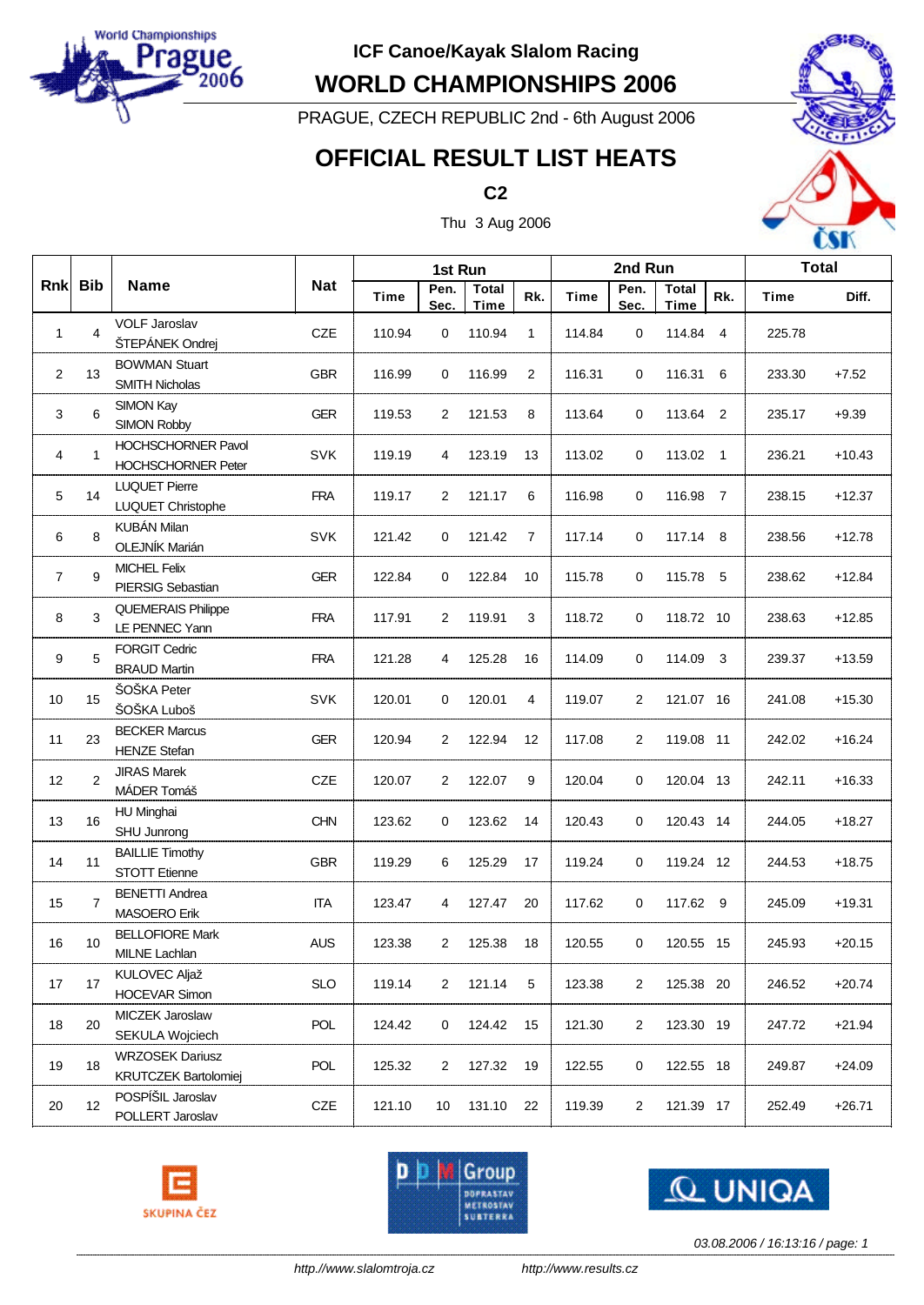

**WORLD CHAMPIONSHIPS 2006**

PRAGUE, CZECH REPUBLIC 2nd - 6th August 2006

# **OFFICIAL RESULT LIST HEATS**





Thu 3 Aug 2006

|                |         |                                                        | <b>Nat</b> |        | 1st Run        |                             |     | 2nd Run     |                |                      |     | <b>Total</b> |          |
|----------------|---------|--------------------------------------------------------|------------|--------|----------------|-----------------------------|-----|-------------|----------------|----------------------|-----|--------------|----------|
|                | Rnk Bib | <b>Name</b>                                            |            | Time   | Pen.<br>Sec.   | <b>Total</b><br><b>Time</b> | Rk. | <b>Time</b> | Pen.<br>Sec.   | <b>Total</b><br>Time | Rk. | Time         | Diff.    |
| 1              | 4       | <b>VOLF Jaroslav</b><br>ŠTEPÁNEK Ondrej                | CZE        | 110.94 | 0              | 110.94                      | 1   | 114.84      | $\mathbf 0$    | 114.84               | 4   | 225.78       |          |
| $\overline{2}$ | 13      | <b>BOWMAN Stuart</b><br><b>SMITH Nicholas</b>          | <b>GBR</b> | 116.99 | 0              | 116.99                      | 2   | 116.31      | 0              | 116.31 6             |     | 233.30       | $+7.52$  |
| 3              | 6       | SIMON Kay<br><b>SIMON Robby</b>                        | <b>GER</b> | 119.53 | 2              | 121.53                      | 8   | 113.64      | 0              | 113.64 2             |     | 235.17       | $+9.39$  |
| 4              | 1       | <b>HOCHSCHORNER Pavol</b><br><b>HOCHSCHORNER Peter</b> | <b>SVK</b> | 119.19 | 4              | 123.19                      | 13  | 113.02      | 0              | 113.02 1             |     | 236.21       | $+10.43$ |
| 5              | 14      | <b>LUQUET Pierre</b><br>LUQUET Christophe              | <b>FRA</b> | 119.17 | 2              | 121.17                      | 6   | 116.98      | 0              | 116.98 7             |     | 238.15       | $+12.37$ |
| 6              | 8       | KUBÁN Milan<br>OLEJNÍK Marián                          | <b>SVK</b> | 121.42 | 0              | 121.42                      | 7   | 117.14      | 0              | 117.14 8             |     | 238.56       | $+12.78$ |
| $\overline{7}$ | 9       | <b>MICHEL Felix</b><br>PIERSIG Sebastian               | <b>GER</b> | 122.84 | 0              | 122.84                      | 10  | 115.78      | 0              | 115.78 5             |     | 238.62       | $+12.84$ |
| 8              | 3       | <b>QUEMERAIS Philippe</b><br>LE PENNEC Yann            | <b>FRA</b> | 117.91 | 2              | 119.91                      | 3   | 118.72      | 0              | 118.72 10            |     | 238.63       | $+12.85$ |
| 9              | 5       | <b>FORGIT Cedric</b><br><b>BRAUD Martin</b>            | <b>FRA</b> | 121.28 | 4              | 125.28                      | 16  | 114.09      | 0              | 114.09               | 3   | 239.37       | $+13.59$ |
| 10             | 15      | ŠOŠKA Peter<br>ŠOŠKA Luboš                             | <b>SVK</b> | 120.01 | 0              | 120.01                      | 4   | 119.07      | 2              | 121.07 16            |     | 241.08       | $+15.30$ |
| 11             | 23      | <b>BECKER Marcus</b><br><b>HENZE Stefan</b>            | <b>GER</b> | 120.94 | 2              | 122.94                      | 12  | 117.08      | 2              | 119.08 11            |     | 242.02       | $+16.24$ |
| 12             | 2       | <b>JIRAS Marek</b><br>MÁDER Tomáš                      | CZE        | 120.07 | 2              | 122.07                      | 9   | 120.04      | 0              | 120.04 13            |     | 242.11       | $+16.33$ |
| 13             | 16      | <b>HU Minghai</b><br>SHU Junrong                       | <b>CHN</b> | 123.62 | 0              | 123.62                      | 14  | 120.43      | 0              | 120.43 14            |     | 244.05       | $+18.27$ |
| 14             | 11      | <b>BAILLIE Timothy</b><br><b>STOTT Etienne</b>         | <b>GBR</b> | 119.29 | 6              | 125.29                      | 17  | 119.24      | 0              | 119.24 12            |     | 244.53       | $+18.75$ |
| 15             | 7       | <b>BENETTI Andrea</b><br><b>MASOERO Erik</b>           | ITA        | 123.47 | 4              | 127.47                      | 20  | 117.62      | 0              | 117.62 9             |     | 245.09       | $+19.31$ |
| 16             | 10      | <b>BELLOFIORE Mark</b><br>MILNE Lachlan                | <b>AUS</b> | 123.38 | 2              | 125.38                      | 18  | 120.55      | 0              | 120.55 15            |     | 245.93       | $+20.15$ |
| 17             | 17      | <b>KULOVEC Aljaž</b><br><b>HOCEVAR Simon</b>           | <b>SLO</b> | 119.14 | $\overline{2}$ | 121.14                      | 5   | 123.38      | 2              | 125.38 20            |     | 246.52       | $+20.74$ |
| 18             | 20      | MICZEK Jaroslaw<br>SEKULA Wojciech                     | POL        | 124.42 | 0              | 124.42                      | 15  | 121.30      | $\overline{c}$ | 123.30 19            |     | 247.72       | $+21.94$ |
| 19             | 18      | <b>WRZOSEK Dariusz</b><br>KRUTCZEK Bartolomiej         | POL        | 125.32 | 2              | 127.32                      | 19  | 122.55      | 0              | 122.55 18            |     | 249.87       | $+24.09$ |
| 20             | 12      | POSPÍŠIL Jaroslav<br>POLLERT Jaroslav                  | CZE        | 121.10 | 10             | 131.10                      | 22  | 119.39      | 2              | 121.39 17            |     | 252.49       | $+26.71$ |







*03.08.2006 / 16:13:16 / page: 1*